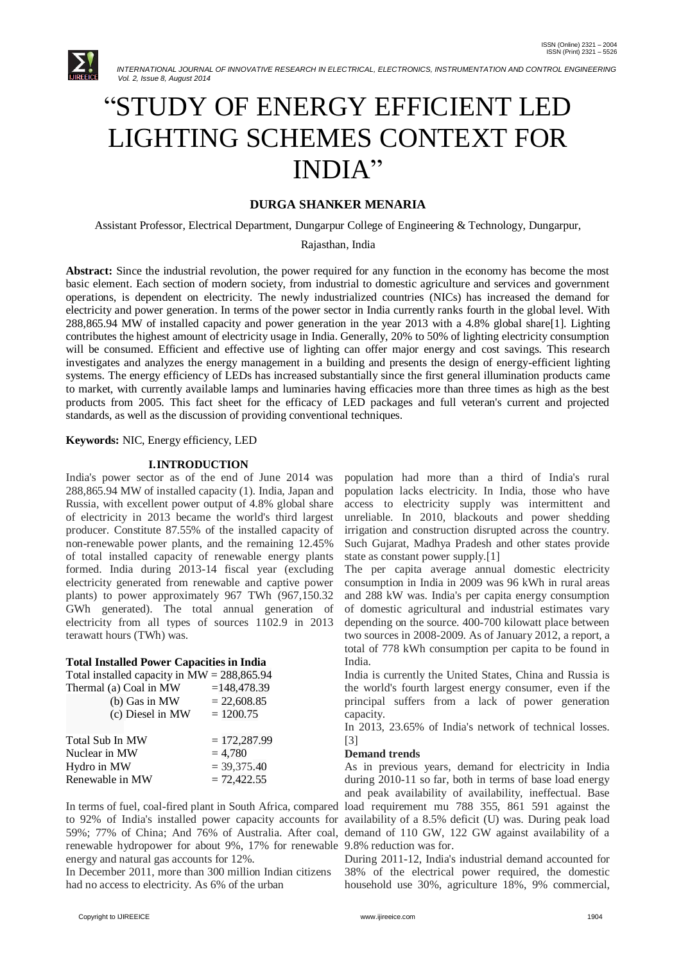

# ―STUDY OF ENERGY EFFICIENT LED LIGHTING SCHEMES CONTEXT FOR INDIA"

# **DURGA SHANKER MENARIA**

Assistant Professor, Electrical Department, Dungarpur College of Engineering & Technology, Dungarpur,

#### Rajasthan, India

**Abstract:** Since the industrial revolution, the power required for any function in the economy has become the most basic element. Each section of modern society, from industrial to domestic agriculture and services and government operations, is dependent on electricity. The newly industrialized countries (NICs) has increased the demand for electricity and power generation. In terms of the power sector in India currently ranks fourth in the global level. With 288,865.94 MW of installed capacity and power generation in the year 2013 with a 4.8% global share[1]. Lighting contributes the highest amount of electricity usage in India. Generally, 20% to 50% of lighting electricity consumption will be consumed. Efficient and effective use of lighting can offer major energy and cost savings. This research investigates and analyzes the energy management in a building and presents the design of energy-efficient lighting systems. The energy efficiency of LEDs has increased substantially since the first general illumination products came to market, with currently available lamps and luminaries having efficacies more than three times as high as the best products from 2005. This fact sheet for the efficacy of LED packages and full veteran's current and projected standards, as well as the discussion of providing conventional techniques.

## **Keywords:** NIC, Energy efficiency, LED

#### **I.INTRODUCTION**

India's power sector as of the end of June 2014 was 288,865.94 MW of installed capacity (1). India, Japan and Russia, with excellent power output of 4.8% global share of electricity in 2013 became the world's third largest producer. Constitute 87.55% of the installed capacity of non-renewable power plants, and the remaining 12.45% of total installed capacity of renewable energy plants formed. India during 2013-14 fiscal year (excluding electricity generated from renewable and captive power plants) to power approximately 967 TWh (967,150.32 GWh generated). The total annual generation of electricity from all types of sources 1102.9 in 2013 terawatt hours (TWh) was.

## **Total Installed Power Capacities in India**

| Total installed capacity in $MW = 288,865.94$ |                |
|-----------------------------------------------|----------------|
| Thermal (a) Coal in MW                        | $=148,478.39$  |
| (b) Gas in MW                                 | $= 22,608.85$  |
| (c) Diesel in MW                              | $= 1200.75$    |
|                                               |                |
| Total Sub In MW                               | $= 172,287.99$ |
| Nuclear in MW                                 | $= 4,780$      |
| Hydro in MW                                   | $= 39,375.40$  |
| Renewable in MW                               | $= 72,422.55$  |

In terms of fuel, coal-fired plant in South Africa, compared to 92% of India's installed power capacity accounts for availability of a 8.5% deficit (U) was. During peak load 59%; 77% of China; And 76% of Australia. After coal, demand of 110 GW, 122 GW against availability of a renewable hydropower for about 9%, 17% for renewable 9.8% reduction was for. energy and natural gas accounts for 12%.

In December 2011, more than 300 million Indian citizens had no access to electricity. As 6% of the urban

population had more than a third of India's rural population lacks electricity. In India, those who have access to electricity supply was intermittent and unreliable. In 2010, blackouts and power shedding irrigation and construction disrupted across the country. Such Gujarat, Madhya Pradesh and other states provide state as constant power supply.[1]

The per capita average annual domestic electricity consumption in India in 2009 was 96 kWh in rural areas and 288 kW was. India's per capita energy consumption of domestic agricultural and industrial estimates vary depending on the source. 400-700 kilowatt place between two sources in 2008-2009. As of January 2012, a report, a total of 778 kWh consumption per capita to be found in India.

India is currently the United States, China and Russia is the world's fourth largest energy consumer, even if the principal suffers from a lack of power generation capacity.

In 2013, 23.65% of India's network of technical losses. [3]

#### **Demand trends**

As in previous years, demand for electricity in India during 2010-11 so far, both in terms of base load energy and peak availability of availability, ineffectual. Base load requirement mu 788 355, 861 591 against the

During 2011-12, India's industrial demand accounted for 38% of the electrical power required, the domestic household use 30%, agriculture 18%, 9% commercial,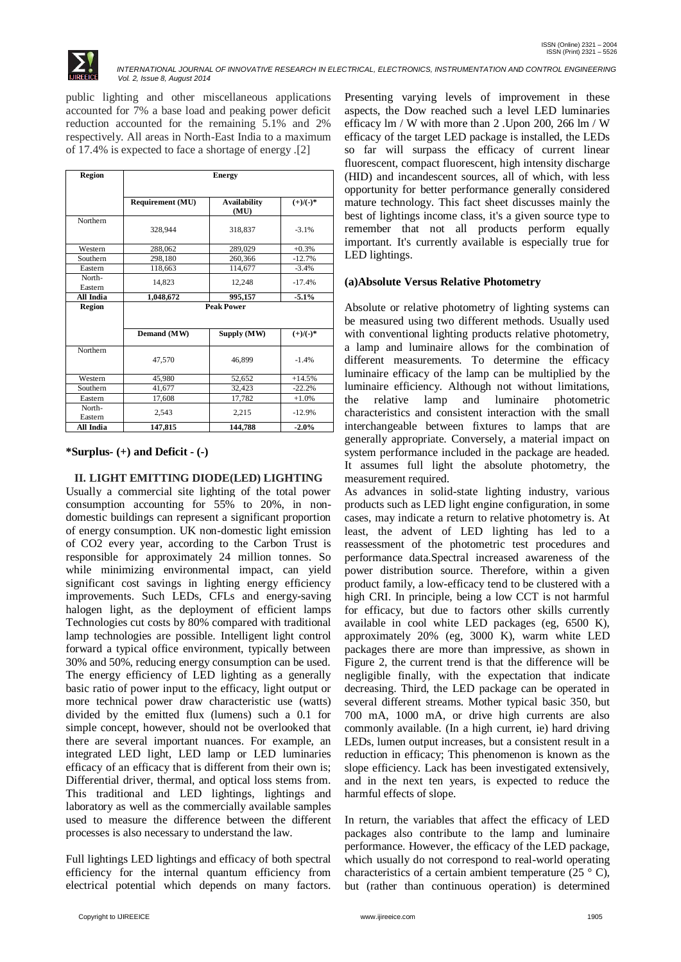

public lighting and other miscellaneous applications accounted for 7% a base load and peaking power deficit reduction accounted for the remaining 5.1% and 2% respectively. All areas in North-East India to a maximum of 17.4% is expected to face a shortage of energy .[2]

| Region            | <b>Energy</b>           |                             |             |
|-------------------|-------------------------|-----------------------------|-------------|
|                   | <b>Requirement (MU)</b> | <b>Availability</b><br>(MU) | $(+)/(-)^*$ |
| Northern          | 328,944                 | 318,837                     | $-3.1%$     |
| Western           | 288,062                 | 289,029                     | $+0.3%$     |
| Southern          | 298,180                 | 260,366                     | $-12.7%$    |
| Eastern           | 118,663                 | 114,677                     | $-3.4%$     |
| North-<br>Eastern | 14,823                  | 12,248                      | $-17.4%$    |
| All India         | 1,048,672               | 995,157                     | $-5.1%$     |
| Region            | <b>Peak Power</b>       |                             |             |
|                   | Demand (MW)             | Supply (MW)                 | $(+)/(-)^*$ |
| Northern          | 47,570                  | 46.899                      | $-1.4%$     |
| Western           | 45,980                  | 52,652                      | $+14.5%$    |
| Southern          | 41,677                  | 32,423                      | $-22.2%$    |
| Eastern           | 17,608                  | 17,782                      | $+1.0%$     |
| North-<br>Eastern | 2,543                   | 2,215                       | $-12.9%$    |
| All India         | 147,815                 | 144,788                     | $-2.0%$     |

#### **\*Surplus- (+) and Deficit - (-)**

## **II. LIGHT EMITTING DIODE(LED) LIGHTING**

Usually a commercial site lighting of the total power consumption accounting for 55% to 20%, in nondomestic buildings can represent a significant proportion of energy consumption. UK non-domestic light emission of CO2 every year, according to the Carbon Trust is responsible for approximately 24 million tonnes. So while minimizing environmental impact, can yield significant cost savings in lighting energy efficiency improvements. Such LEDs, CFLs and energy-saving halogen light, as the deployment of efficient lamps Technologies cut costs by 80% compared with traditional lamp technologies are possible. Intelligent light control forward a typical office environment, typically between 30% and 50%, reducing energy consumption can be used. The energy efficiency of LED lighting as a generally basic ratio of power input to the efficacy, light output or more technical power draw characteristic use (watts) divided by the emitted flux (lumens) such a 0.1 for simple concept, however, should not be overlooked that there are several important nuances. For example, an integrated LED light, LED lamp or LED luminaries efficacy of an efficacy that is different from their own is; Differential driver, thermal, and optical loss stems from. This traditional and LED lightings, lightings and laboratory as well as the commercially available samples used to measure the difference between the different processes is also necessary to understand the law.

Full lightings LED lightings and efficacy of both spectral efficiency for the internal quantum efficiency from electrical potential which depends on many factors. Presenting varying levels of improvement in these aspects, the Dow reached such a level LED luminaries efficacy lm / W with more than 2 .Upon 200, 266 lm / W efficacy of the target LED package is installed, the LEDs so far will surpass the efficacy of current linear fluorescent, compact fluorescent, high intensity discharge (HID) and incandescent sources, all of which, with less opportunity for better performance generally considered mature technology. This fact sheet discusses mainly the best of lightings income class, it's a given source type to remember that not all products perform equally important. It's currently available is especially true for LED lightings.

#### **(a)Absolute Versus Relative Photometry**

Absolute or relative photometry of lighting systems can be measured using two different methods. Usually used with conventional lighting products relative photometry, a lamp and luminaire allows for the combination of different measurements. To determine the efficacy luminaire efficacy of the lamp can be multiplied by the luminaire efficiency. Although not without limitations, the relative lamp and luminaire photometric characteristics and consistent interaction with the small interchangeable between fixtures to lamps that are generally appropriate. Conversely, a material impact on system performance included in the package are headed. It assumes full light the absolute photometry, the measurement required.

As advances in solid-state lighting industry, various products such as LED light engine configuration, in some cases, may indicate a return to relative photometry is. At least, the advent of LED lighting has led to a reassessment of the photometric test procedures and performance data.Spectral increased awareness of the power distribution source. Therefore, within a given product family, a low-efficacy tend to be clustered with a high CRI. In principle, being a low CCT is not harmful for efficacy, but due to factors other skills currently available in cool white LED packages (eg, 6500 K), approximately 20% (eg, 3000 K), warm white LED packages there are more than impressive, as shown in Figure 2, the current trend is that the difference will be negligible finally, with the expectation that indicate decreasing. Third, the LED package can be operated in several different streams. Mother typical basic 350, but 700 mA, 1000 mA, or drive high currents are also commonly available. (In a high current, ie) hard driving LEDs, lumen output increases, but a consistent result in a reduction in efficacy; This phenomenon is known as the slope efficiency. Lack has been investigated extensively, and in the next ten years, is expected to reduce the harmful effects of slope.

In return, the variables that affect the efficacy of LED packages also contribute to the lamp and luminaire performance. However, the efficacy of the LED package, which usually do not correspond to real-world operating characteristics of a certain ambient temperature (25  $\degree$  C), but (rather than continuous operation) is determined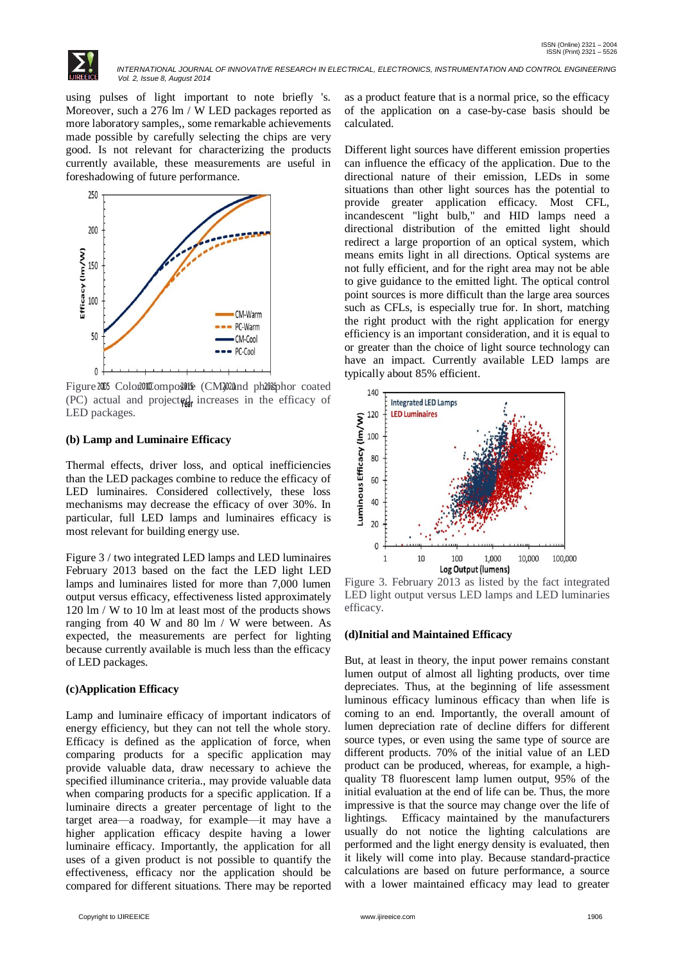

using pulses of light important to note briefly 's. Moreover, such a 276 lm / W LED packages reported as more laboratory samples,, some remarkable achievements made possible by carefully selecting the chips are very good. Is not relevant for characterizing the products currently available, these measurements are useful in foreshadowing of future performance.



Figure 2005 Color OComposite (CM) 20and photosphor coated  $(PC)$  actual and projected increases in the efficacy of LED packages.

#### **(b) Lamp and Luminaire Efficacy**

Thermal effects, driver loss, and optical inefficiencies than the LED packages combine to reduce the efficacy of LED luminaires. Considered collectively, these loss mechanisms may decrease the efficacy of over 30%. In particular, full LED lamps and luminaires efficacy is most relevant for building energy use.

Figure 3 / two integrated LED lamps and LED luminaires February 2013 based on the fact the LED light LED lamps and luminaires listed for more than 7,000 lumen output versus efficacy, effectiveness listed approximately 120 lm / W to 10 lm at least most of the products shows ranging from 40 W and 80 lm / W were between. As expected, the measurements are perfect for lighting because currently available is much less than the efficacy of LED packages.

#### **(c)Application Efficacy**

Lamp and luminaire efficacy of important indicators of energy efficiency, but they can not tell the whole story. Efficacy is defined as the application of force, when comparing products for a specific application may provide valuable data, draw necessary to achieve the specified illuminance criteria., may provide valuable data when comparing products for a specific application. If a luminaire directs a greater percentage of light to the target area—a roadway, for example—it may have a higher application efficacy despite having a lower luminaire efficacy. Importantly, the application for all uses of a given product is not possible to quantify the effectiveness, efficacy nor the application should be compared for different situations. There may be reported

as a product feature that is a normal price, so the efficacy of the application on a case-by-case basis should be calculated.

Different light sources have different emission properties can influence the efficacy of the application. Due to the directional nature of their emission, LEDs in some situations than other light sources has the potential to provide greater application efficacy. Most CFL, incandescent "light bulb," and HID lamps need a directional distribution of the emitted light should redirect a large proportion of an optical system, which means emits light in all directions. Optical systems are not fully efficient, and for the right area may not be able to give guidance to the emitted light. The optical control point sources is more difficult than the large area sources such as CFLs, is especially true for. In short, matching the right product with the right application for energy efficiency is an important consideration, and it is equal to or greater than the choice of light source technology can have an impact. Currently available LED lamps are typically about 85% efficient.



Figure 3. February 2013 as listed by the fact integrated LED light output versus LED lamps and LED luminaries efficacy.

#### **(d)Initial and Maintained Efficacy**

But, at least in theory, the input power remains constant lumen output of almost all lighting products, over time depreciates. Thus, at the beginning of life assessment luminous efficacy luminous efficacy than when life is coming to an end. Importantly, the overall amount of lumen depreciation rate of decline differs for different source types, or even using the same type of source are different products. 70% of the initial value of an LED product can be produced, whereas, for example, a highquality T8 fluorescent lamp lumen output, 95% of the initial evaluation at the end of life can be. Thus, the more impressive is that the source may change over the life of lightings. Efficacy maintained by the manufacturers usually do not notice the lighting calculations are performed and the light energy density is evaluated, then it likely will come into play. Because standard-practice calculations are based on future performance, a source with a lower maintained efficacy may lead to greater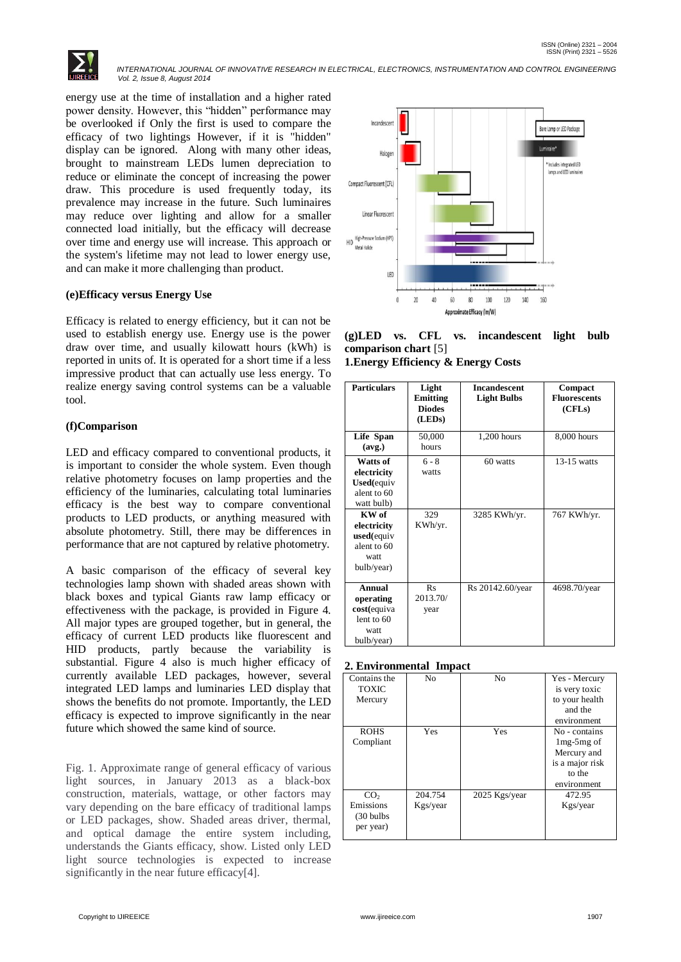

energy use at the time of installation and a higher rated power density. However, this "hidden" performance may be overlooked if Only the first is used to compare the efficacy of two lightings However, if it is "hidden" display can be ignored. Along with many other ideas, brought to mainstream LEDs lumen depreciation to reduce or eliminate the concept of increasing the power draw. This procedure is used frequently today, its prevalence may increase in the future. Such luminaires may reduce over lighting and allow for a smaller connected load initially, but the efficacy will decrease over time and energy use will increase. This approach or the system's lifetime may not lead to lower energy use, and can make it more challenging than product.

## **(e)Efficacy versus Energy Use**

Efficacy is related to energy efficiency, but it can not be used to establish energy use. Energy use is the power draw over time, and usually kilowatt hours (kWh) is reported in units of. It is operated for a short time if a less impressive product that can actually use less energy. To realize energy saving control systems can be a valuable tool.

## **(f)Comparison**

LED and efficacy compared to conventional products, it is important to consider the whole system. Even though relative photometry focuses on lamp properties and the efficiency of the luminaries, calculating total luminaries efficacy is the best way to compare conventional products to LED products, or anything measured with absolute photometry. Still, there may be differences in performance that are not captured by relative photometry.

A basic comparison of the efficacy of several key technologies lamp shown with shaded areas shown with black boxes and typical Giants raw lamp efficacy or effectiveness with the package, is provided in Figure 4. All major types are grouped together, but in general, the efficacy of current LED products like fluorescent and HID products, partly because the variability is substantial. Figure 4 also is much higher efficacy of currently available LED packages, however, several integrated LED lamps and luminaries LED display that shows the benefits do not promote. Importantly, the LED efficacy is expected to improve significantly in the near future which showed the same kind of source.

Fig. 1. Approximate range of general efficacy of various light sources, in January 2013 as a black-box construction, materials, wattage, or other factors may vary depending on the bare efficacy of traditional lamps or LED packages, show. Shaded areas driver, thermal, and optical damage the entire system including, understands the Giants efficacy, show. Listed only LED light source technologies is expected to increase significantly in the near future efficacy<sup>[4]</sup>.



**(g)LED vs. CFL vs. incandescent light bulb comparison chart** [5]

**1.Energy Efficiency & Energy Costs**

| <b>Particulars</b>                                                         | Light<br>Emitting<br><b>Diodes</b><br>(LEDs) | <b>Incandescent</b><br><b>Light Bulbs</b> | Compact<br><b>Fluorescents</b><br>(CFLs) |
|----------------------------------------------------------------------------|----------------------------------------------|-------------------------------------------|------------------------------------------|
| Life Span<br>(avg.)                                                        | 50,000<br>hours                              | 1,200 hours                               | 8,000 hours                              |
| Watts of<br>electricity<br><b>Used</b> (equiv<br>alent to 60<br>watt bulb) | $6 - 8$<br>watts                             | 60 watts                                  | $13-15$ watts                            |
| KW of<br>electricity<br>$used$ (equiv<br>alent to 60<br>watt<br>bulb/year) | 329<br>KWh/yr.                               | 3285 KWh/yr.                              | 767 KWh/yr.                              |
| Annual<br>operating<br>cost(equiva<br>lent to 60<br>watt<br>bulb/year)     | Rs<br>2013.70/<br>year                       | Rs 20142.60/year                          | 4698.70/year                             |

#### **2. Environmental Impact**

| Contains the         | No       | N <sub>0</sub> | Yes - Mercury   |
|----------------------|----------|----------------|-----------------|
| <b>TOXIC</b>         |          |                | is very toxic   |
| Mercury              |          |                | to your health  |
|                      |          |                | and the         |
|                      |          |                | environment     |
| <b>ROHS</b>          | Yes      | Yes            | No - contains   |
| Compliant            |          |                | $1mg-5mg$ of    |
|                      |          |                | Mercury and     |
|                      |          |                | is a major risk |
|                      |          |                | to the          |
|                      |          |                | environment     |
| CO <sub>2</sub>      | 204.754  | 2025 Kgs/year  | 472.95          |
| Emissions            | Kgs/year |                | Kgs/year        |
| $(30 \text{ bulbs})$ |          |                |                 |
| per year)            |          |                |                 |
|                      |          |                |                 |